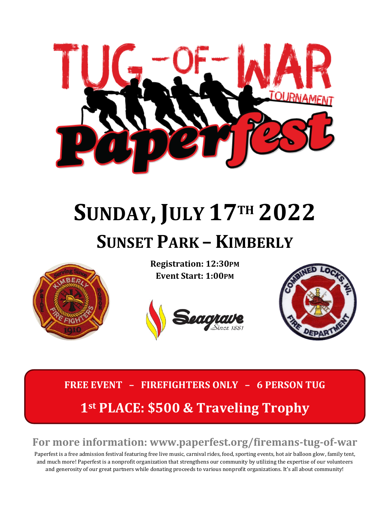

## **SUNDAY, JULY 17TH 2022 SUNSET PARK – KIMBERLY**



**Registration: 12:30PM Event Start: 1:00PM**





## **FREE EVENT – FIREFIGHTERS ONLY – 6 PERSON TUG 1st PLACE: \$500 & Traveling Trophy**

## **For more information: www.paperfest.org/firemans-tug-of-war**

Paperfest is a free admission festival featuring free live music, carnival rides, food, sporting events, hot air balloon glow, family tent, and much more! Paperfest is a nonprofit organization that strengthens our community by utilizing the expertise of our volunteers and generosity of our great partners while donating proceeds to various nonprofit organizations. It's all about community!